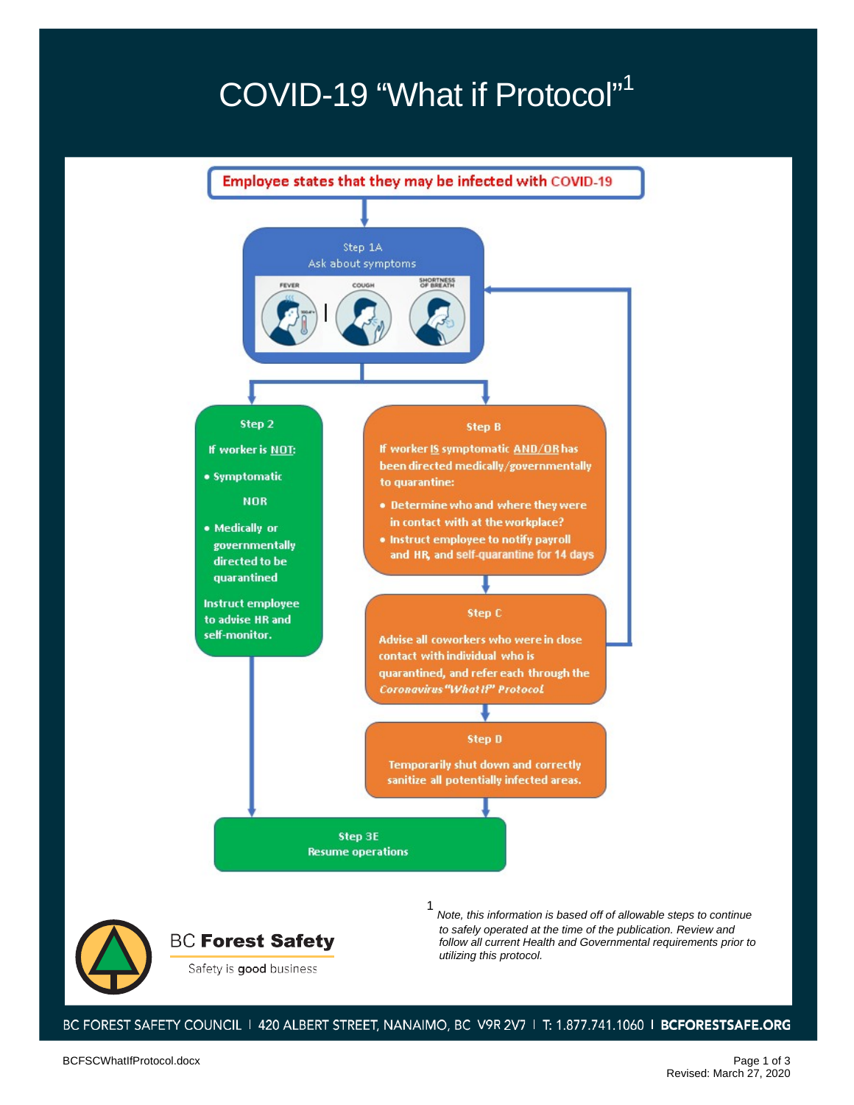## COVID-19 "What if Protocol"<sup>1</sup>



**BC Forest Safety** Safety is good business

*Note, this information is based off of allowable steps to continue to safely operated at the time of the publication. Review and follow all current Health and Governmental requirements prior to utilizing this protocol.*

BC FOREST SAFETY COUNCIL 1 420 ALBERT STREET, NANAIMO, BC V9R 2V7 1 T: 1.877.741.1060 1 BCFORESTSAFE.ORG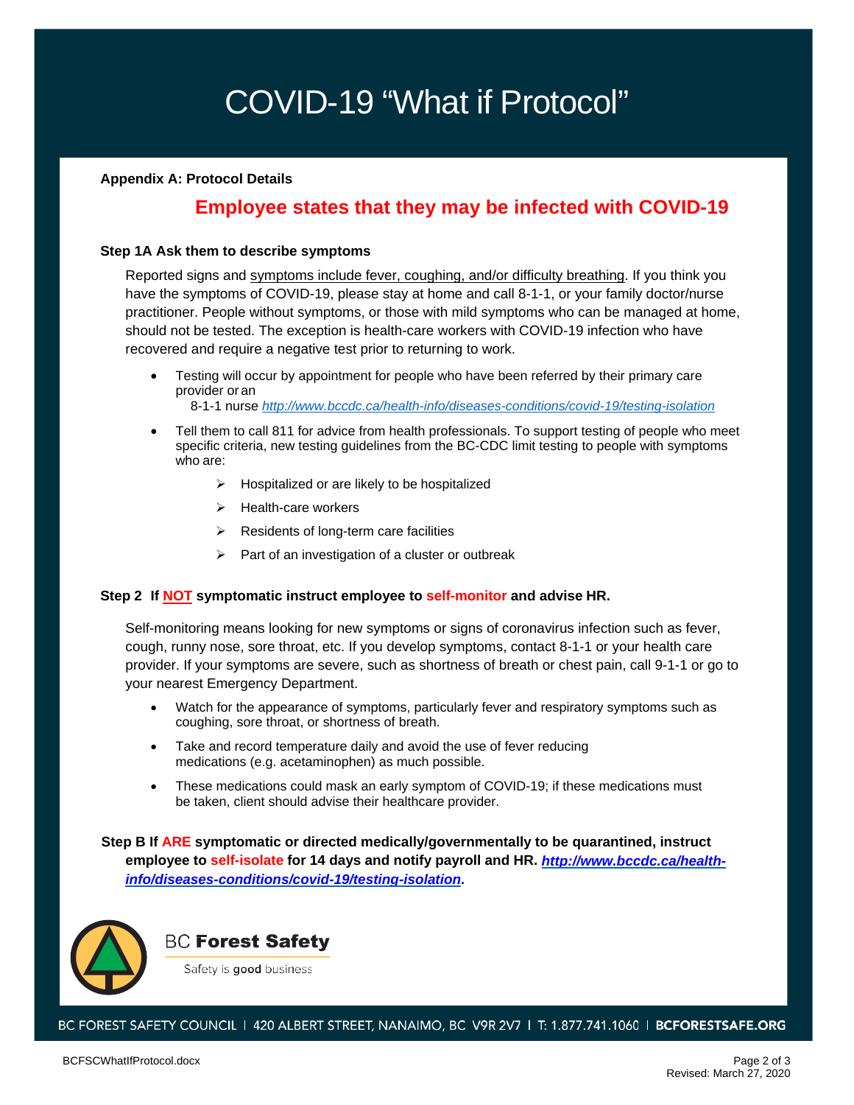# COVID-19 "What if Protocol"

### **Appendix A: Protocol Details**

### **Employee states that they may be infected with COVID-19**

#### **Step 1A Ask them to describe symptoms**

Reported signs and symptoms include fever, coughing, and/or difficulty breathing. If you think you have the symptoms of COVID-19, please stay at home and call 8-1-1, or your family doctor/nurse practitioner. People without symptoms, or those with mild symptoms who can be managed at home, should not be tested. The exception is health-care workers with COVID-19 infection who have recovered and require a negative test prior to returning to work.

• Testing will occur by appointment for people who have been referred by their primary care provider or an

8-1-1 nurse *[http://www.bccdc.ca/health-info/diseases-conditions/covid](http://www.bccdc.ca/health-info/diseases-conditions/covid-19/self-isolation)-19/testing-isolation*

- Tell them to call 811 for advice from health professionals. To support testing of people who meet specific criteria, new testing guidelines from the BC-CDC limit testing to people with symptoms who are:
	- $\triangleright$  Hospitalized or are likely to be hospitalized
	- $\triangleright$  Health-care workers
	- $\triangleright$  Residents of long-term care facilities
	- $\triangleright$  Part of an investigation of a cluster or outbreak

#### **Step 2 If NOT symptomatic instruct employee to self-monitor and advise HR.**

Self-monitoring means looking for new symptoms or signs of coronavirus infection such as fever, cough, runny nose, sore throat, etc. If you develop symptoms, contact 8-1-1 or your health care provider. If your symptoms are severe, such as shortness of breath or chest pain, call 9-1-1 or go to your nearest Emergency Department.

- Watch for the appearance of symptoms, particularly fever and respiratory symptoms such as coughing, sore throat, or shortness of breath.
- Take and record temperature daily and avoid the use of fever reducing medications (e.g. acetaminophen) as much possible.
- These medications could mask an early symptom of COVID-19; if these medications must be taken, client should advise their healthcare provider.

**Step B If ARE symptomatic or directed medically/governmentally to be quarantined, instruct employee to self-isolate for 14 days and notify payroll and HR.** *[http://www.bccdc.ca/health](http://www.bccdc.ca/health-info/diseases-conditions/covid-19/testing-isolation)[info/diseases-conditions/covid-19/testing-isolation](http://www.bccdc.ca/health-info/diseases-conditions/covid-19/testing-isolation)***.**



### **BC Forest Safety**

Safety is good business

BC FOREST SAFETY COUNCIL | 420 ALBERT STREET, NANAIMO, BC V9R 2V7 | T: 1.877.741.1060 | BCFORESTSAFE.ORG